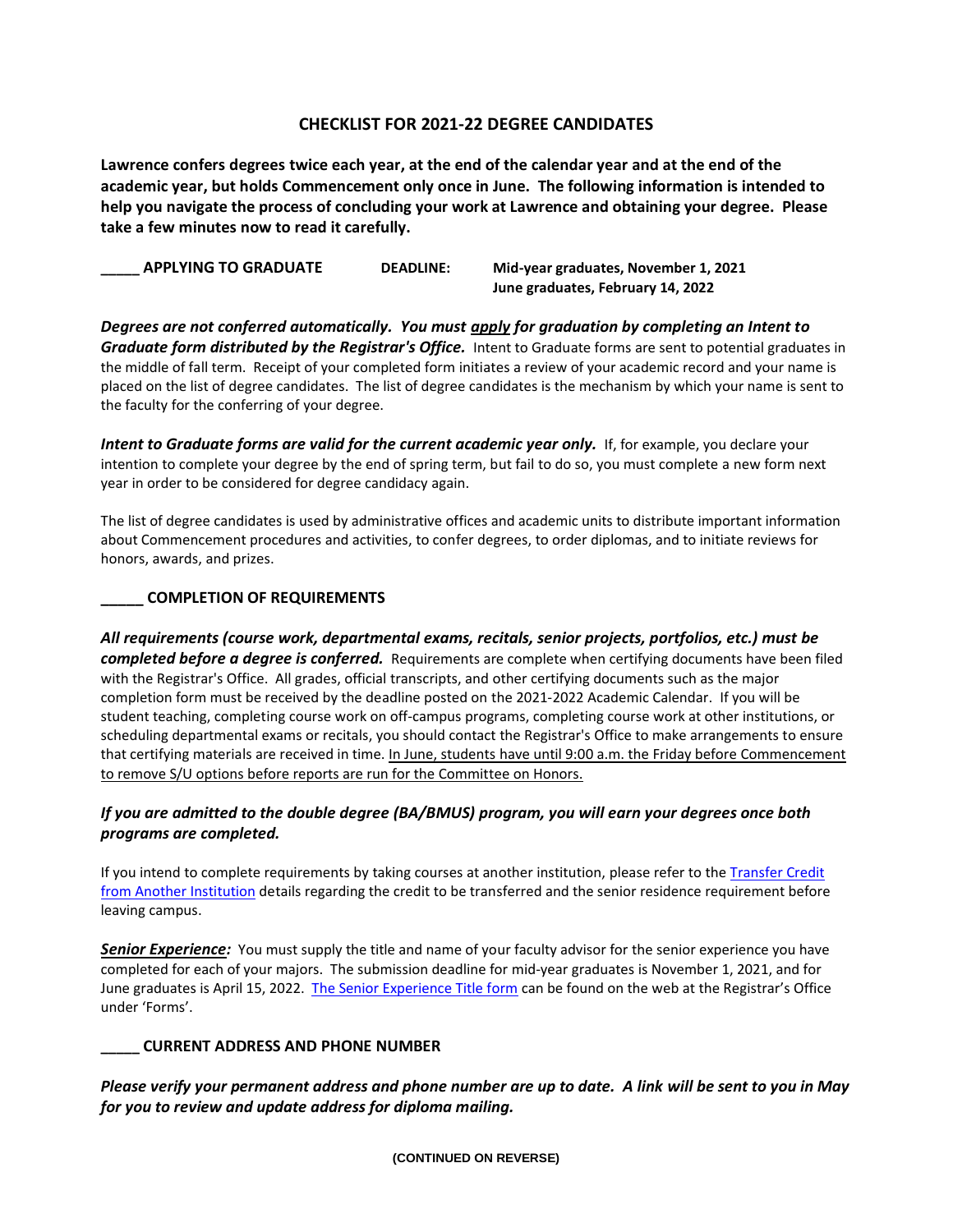# **CHECKLIST FOR 2021-22 DEGREE CANDIDATES**

**Lawrence confers degrees twice each year, at the end of the calendar year and at the end of the academic year, but holds Commencement only once in June. The following information is intended to help you navigate the process of concluding your work at Lawrence and obtaining your degree. Please take a few minutes now to read it carefully.**

**\_\_\_\_\_ APPLYING TO GRADUATE DEADLINE: Mid-year graduates, November 1, 2021 June graduates, February 14, 2022**

*Degrees are not conferred automatically. You must apply for graduation by completing an Intent to Graduate form distributed by the Registrar's Office.* Intent to Graduate forms are sent to potential graduates in the middle of fall term. Receipt of your completed form initiates a review of your academic record and your name is placed on the list of degree candidates. The list of degree candidates is the mechanism by which your name is sent to the faculty for the conferring of your degree.

*Intent to Graduate forms are valid for the current academic year only.* If, for example, you declare your intention to complete your degree by the end of spring term, but fail to do so, you must complete a new form next year in order to be considered for degree candidacy again.

The list of degree candidates is used by administrative offices and academic units to distribute important information about Commencement procedures and activities, to confer degrees, to order diplomas, and to initiate reviews for honors, awards, and prizes.

## **\_\_\_\_\_ COMPLETION OF REQUIREMENTS**

*All requirements (course work, departmental exams, recitals, senior projects, portfolios, etc.) must be completed before a degree is conferred.* Requirements are complete when certifying documents have been filed with the Registrar's Office. All grades, official transcripts, and other certifying documents such as the major completion form must be received by the deadline posted on the 2021-2022 Academic Calendar. If you will be student teaching, completing course work on off-campus programs, completing course work at other institutions, or scheduling departmental exams or recitals, you should contact the Registrar's Office to make arrangements to ensure that certifying materials are received in time. In June, students have until 9:00 a.m. the Friday before Commencement to remove S/U options before reports are run for the Committee on Honors.

# *If you are admitted to the double degree (BA/BMUS) program, you will earn your degrees once both programs are completed.*

If you intend to complete requirements by taking courses at another institution, please refer to the [Transfer Credit](https://www.lawrence.edu/s/registrar/work-space/level-2-pages/transfer_credit)  [from Another Institution](https://www.lawrence.edu/s/registrar/work-space/level-2-pages/transfer_credit) details regarding the credit to be transferred and the senior residence requirement before leaving campus.

**Senior Experience:** You must supply the title and name of your faculty advisor for the senior experience you have completed for each of your majors. The submission deadline for mid-year graduates is November 1, 2021, and for June graduates is April 15, 2022. [The Senior Experience Title form](https://www.lawrence.edu/user/login?current=s/registrar/forms/senior-experience-title&b4r=1) can be found on the web at the Registrar's Office under 'Forms'.

### **\_\_\_\_\_ CURRENT ADDRESS AND PHONE NUMBER**

*Please verify your permanent address and phone number are up to date. A link will be sent to you in May for you to review and update address for diploma mailing.*